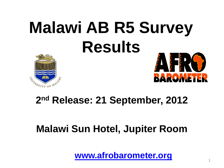# **Malawi AB R5 Survey Results**





### **2 nd Release: 21 September, 2012**

### **Malawi Sun Hotel, Jupiter Room**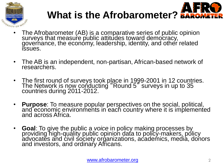



- The Afrobarometer (AB) is a comparative series of public opinion surveys that measure public attitudes toward democracy, governance, the economy, leadership, identity, and other related issues.
- The AB is an independent, non-partisan, African-based network of researchers.
- The first round of surveys took place in 1999-2001 in 12 countries. The Network is now conducting "Round 5" surveys in up to 35 countries during 2011-2012.
- **Purpose**: To measure popular perspectives on the social, political, and economic environments in each country where it is implemented and across Africa.
- **Goal**: To give the public a *voice* in policy making processes by providing high-quality public opinion data to policy-makers, policy advocates and civil society organizations, academics, media, donors and investors, and ordinary Africans.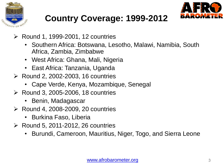



### **Country Coverage: 1999-2012**

- $\triangleright$  Round 1, 1999-2001, 12 countries
	- Southern Africa: Botswana, Lesotho, Malawi, Namibia, South Africa, Zambia, Zimbabwe
	- West Africa: Ghana, Mali, Nigeria
	- East Africa: Tanzania, Uganda
- $\triangleright$  Round 2, 2002-2003, 16 countries
	- Cape Verde, Kenya, Mozambique, Senegal
- $\triangleright$  Round 3, 2005-2006, 18 countries
	- Benin, Madagascar
- $\triangleright$  Round 4, 2008-2009, 20 countries
	- Burkina Faso, Liberia
- $\triangleright$  Round 5, 2011-2012, 26 countries
	- Burundi, Cameroon, Mauritius, Niger, Togo, and Sierra Leone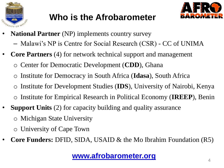

### **Who is the Afrobarometer**



- **National Partner** (NP) implements country survey
	- Malawi's NP is Centre for Social Research (CSR) CC of UNIMA
- **Core Partners** (4) for network technical support and management
	- o Center for Democratic Development (**CDD**), Ghana
	- o Institute for Democracy in South Africa (**Idasa**), South Africa
	- Institute for Development Studies (**IDS**), University of Nairobi, Kenya
	- o Institute for Empirical Research in Political Economy (**IREEP**), Benin
- **Support Units** (2) for capacity building and quality assurance
	- o Michigan State University
	- o University of Cape Town
- **Core Funders:** DFID, SIDA, USAID & the Mo Ibrahim Foundation (R5)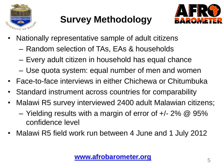

### **Survey Methodology**



- Nationally representative sample of adult citizens
	- Random selection of TAs, EAs & households
	- Every adult citizen in household has equal chance
	- Use quota system: equal number of men and women
- Face-to-face interviews in either Chichewa or Chitumbuka
- Standard instrument across countries for comparability
- Malawi R5 survey interviewed 2400 adult Malawian citizens;
	- Yielding results with a margin of error of  $+/- 2\%$  @ 95% confidence level
- Malawi R5 field work run between 4 June and 1 July 2012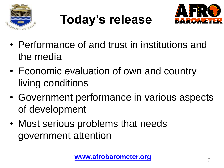

**Today's release**



- Performance of and trust in institutions and the media
- Economic evaluation of own and country living conditions
- Government performance in various aspects of development
- Most serious problems that needs government attention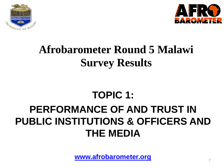



# **Afrobarometer Round 5 Malawi Survey Results**

### **TOPIC 1:**

### **PERFORMANCE OF AND TRUST IN PUBLIC INSTITUTIONS & OFFICERS AND THE MEDIA**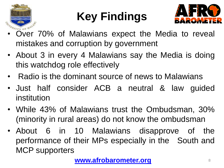

# **Key Findings**



- Over 70% of Malawians expect the Media to reveal mistakes and corruption by government
- About 3 in every 4 Malawians say the Media is doing this watchdog role effectively
- Radio is the dominant source of news to Malawians
- Just half consider ACB a neutral & law guided institution
- While 43% of Malawians trust the Ombudsman, 30% (minority in rural areas) do not know the ombudsman
- About 6 in 10 Malawians disapprove of the performance of their MPs especially in the South and MCP supporters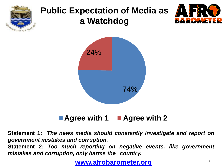

### **Public Expectation of Media as a Watchdog**





■ Agree with 1 ■ Agree with 2

**Statement 1:** *The news media should constantly investigate and report on government mistakes and corruption.*

**Statement 2:** *Too much reporting on negative events, like government mistakes and corruption, only harms the country.*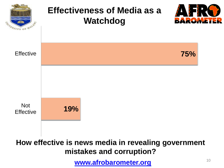

**How effective is news media in revealing government mistakes and corruption?**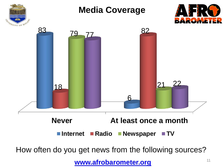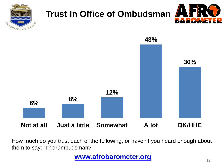

How much do you trust each of the following, or haven't you heard enough about them to say: The Ombudsman?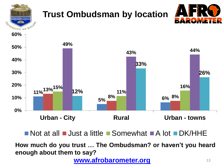

 $\blacksquare$  Not at all  $\blacksquare$  Just a little  $\blacksquare$  Somewhat  $\blacksquare$  A lot  $\blacksquare$  DK/HHE

**How much do you trust … The Ombudsman? or haven't you heard enough about them to say?**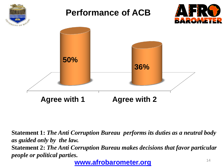

**Statement 1:** *The Anti Corruption Bureau performs its duties as a neutral body as guided only by the law.* **Statement 2:** *The Anti Corruption Bureau makes decisions that favor particular people or political parties.*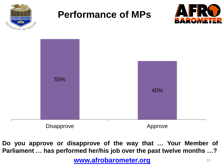

### **Performance of MPs**





**Do you approve or disapprove of the way that … Your Member of Parliament … has performed her/his job over the past twelve months …?**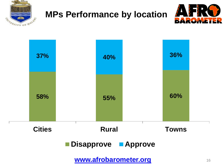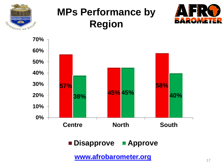

## **MPs Performance by Region**





**Disapprove Approve**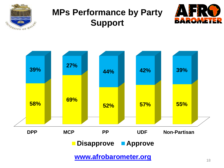

### **MPs Performance by Party Support**



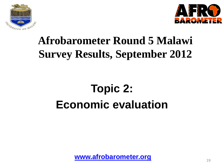



# **Afrobarometer Round 5 Malawi Survey Results, September 2012**

# **Topic 2: Economic evaluation**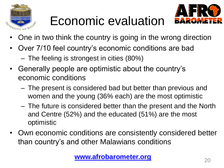

# Economic evaluation



- One in two think the country is going in the wrong direction
- Over 7/10 feel country's economic conditions are bad
	- The feeling is strongest in cities (80%)
- Generally people are optimistic about the country's economic conditions
	- The present is considered bad but better than previous and women and the young (36% each) are the most optimistic
	- The future is considered better than the present and the North and Centre (52%) and the educated (51%) are the most optimistic
- Own economic conditions are consistently considered better than country's and other Malawians conditions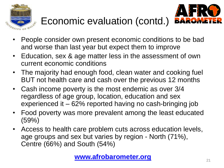



- Economic evaluation (contd.)
- People consider own present economic conditions to be bad and worse than last year but expect them to improve
- Education, sex & age matter less in the assessment of own current economic conditions
- The majority had enough food, clean water and cooking fuel BUT not health care and cash over the previous 12 months
- Cash income poverty is the most endemic as over 3/4 regardless of age group, location, education and sex experienced it – 62% reported having no cash-bringing job
- Food poverty was more prevalent among the least educated (59%)
- Access to health care problem cuts across education levels, age groups and sex but varies by region - North (71%), Centre (66%) and South (54%)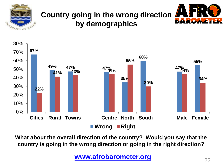

#### **Country going in the wrong direction by demographics**





**What about the overall direction of the country? Would you say that the country is going in the wrong direction or going in the right direction?**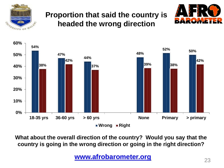

#### **Proportion that said the country is headed the wrong direction**





**What about the overall direction of the country? Would you say that the country is going in the wrong direction or going in the right direction?**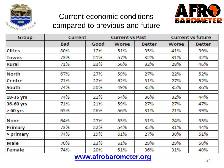

#### Current economic conditions compared to previous and future



| Group         | Current    |      | <b>Current vs Past</b> |               | <b>Current vs future</b> |        |
|---------------|------------|------|------------------------|---------------|--------------------------|--------|
|               | <b>Bad</b> | Good | Worse                  | <b>Better</b> | <b>Worse</b>             | Better |
| <b>Cities</b> | 80%        | 12%  | 51%                    | 35%           | 41%                      | 39%    |
| <b>Towns</b>  | 73%        | 21%  | 57%                    | 32%           | 31%                      | 42%    |
| Rural         | 71%        | 23%  | 56%                    | 32%           | 28%                      | 46%    |
| <b>North</b>  | 67%        | 27%  | 59%                    | 27%           | 22%                      | 52%    |
| Centre        | 71%        | 22%  | 62%                    | 31%           | 27%                      | 52%    |
| South         | 74%        | 20%  | 49%                    | 35%           | 35%                      | 36%    |
| 18-35 yrs     | 74%        | 21%  | 54%                    | 36%           | 32%                      | 44%    |
| 36-60 yrs     | 71%        | 21%  | 59%                    | 27%           | 27%                      | 47%    |
| $>60$ yrs     | 65%        | 26%  | 56%                    | 31%           | 21%                      | 39%    |
| None          | 64%        | 27%  | 55%                    | 31%           | 24%                      | 35%    |
| Primary       | 73%        | 22%  | 54%                    | 35%           | 31%                      | 44%    |
| > primary     | 74%        | 19%  | 61%                    | 27%           | 30%                      | 51%    |
| <b>Male</b>   | 70%        | 23%  | 61%                    | 29%           | 29%                      | 50%    |
| Female        | 74%        | 20%  | 51%                    | 36%           | 31%                      | 40%    |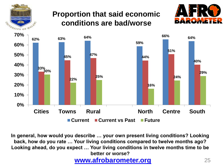

#### **Proportion that said economic conditions are bad/worse**





**In general, how would you describe … your own present living conditions? Looking back, how do you rate … Your living conditions compared to twelve months ago? Looking ahead, do you expect … Your living conditions in twelve months time to be better or worse?**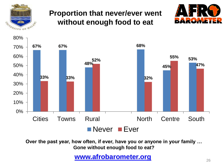

#### **Proportion that never/ever went without enough food to eat**





**Over the past year, how often, if ever, have you or anyone in your family … Gone without enough food to eat?**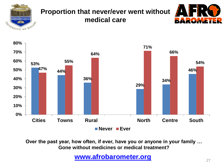

#### **Proportion that never/ever went without medical care**





**Over the past year, how often, if ever, have you or anyone in your family … Gone without medicines or medical treatment?**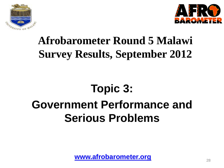



# **Afrobarometer Round 5 Malawi Survey Results, September 2012**

# **Topic 3: Government Performance and Serious Problems**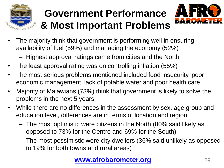

# **Government Performance & Most Important Problems**



- The majority think that government is performing well in ensuring availability of fuel (59%) and managing the economy (52%)
	- Highest approval ratings came from cities and the North
- The least approval rating was on controlling inflation (55%)
- The most serious problems mentioned included food insecurity, poor economic management, lack of potable water and poor health care
- Majority of Malawians (73%) think that government is likely to solve the problems in the next 5 years
- While there are no differences in the assessment by sex, age group and education level, differences are in terms of location and region
	- The most optimistic were citizens in the North (80% said likely as opposed to 73% for the Centre and 69% for the South)
	- The most pessimistic were city dwellers (36% said unlikely as opposed to 19% for both towns and rural areas)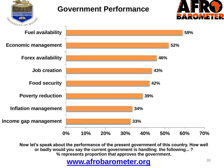

#### **Government Performance**





**Now let's speak about the performance of the present government of this country. How well or badly would you say the current government is handling the following... ? % represents proportion that approves the government.**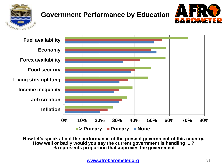

#### **Government Performance by Education**





**Now let's speak about the performance of the present government of this country. How well or badly would you say the current government is handling ... ? % represents proportion that approves the government**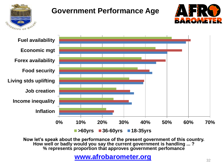

#### **Government Performance Age**





**Now let's speak about the performance of the present government of this country. How well or badly would you say the current government is handling ... ? % represents proportion that approves government perfomance**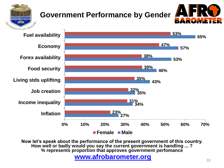

#### **Government Performance by Gender**





**Now let's speak about the performance of the present government of this country. How well or badly would you say the current government is handling ... ? % represents proportion that approves government perfomance**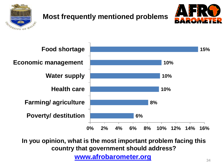

#### **Most frequently mentioned problems**





**In you opinion, what is the most important problem facing this country that government should address?**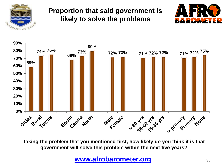

#### **Proportion that said government is likely to solve the problems**





**Taking the problem that you mentioned first, how likely do you think it is that government will solve this problem within the next five years?**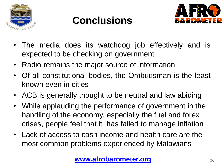

# **Conclusions**



- The media does its watchdog job effectively and is expected to be checking on government
- Radio remains the major source of information
- Of all constitutional bodies, the Ombudsman is the least known even in cities
- ACB is generally thought to be neutral and law abiding
- While applauding the performance of government in the handling of the economy, especially the fuel and forex crises, people feel that it has failed to manage inflation
- Lack of access to cash income and health care are the most common problems experienced by Malawians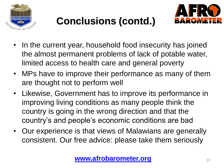

# **Conclusions (contd.)**



- In the current year, household food insecurity has joined the almost permanent problems of lack of potable water, limited access to health care and general poverty
- MPs have to improve their performance as many of them are thought not to perform well
- Likewise, Government has to improve its performance in improving living conditions as many people think the country is going in the wrong direction and that the country's and people's economic conditions are bad
- Our experience is that views of Malawians are generally consistent. Our free advice: please take them seriously